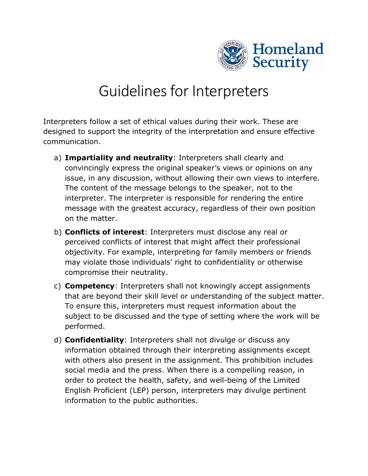

## Guidelines for Interpreters

Interpreters follow a set of ethical values during their work. These are designed to support the integrity of the interpretation and ensure effective communication.

- a) **Impartiality and neutrality**: Interpreters shall clearly and convincingly express the original speaker's views or opinions on any issue, in any discussion, without allowing their own views to interfere. The content of the message belongs to the speaker, not to the interpreter. The interpreter is responsible for rendering the entire message with the greatest accuracy, regardless of their own position on the matter.
- b) **Conflicts of interest**: Interpreters must disclose any real or perceived conflicts of interest that might affect their professional objectivity. For example, interpreting for family members or friends may violate those individuals' right to confidentiality or otherwise compromise their neutrality.
- c) **Competency**: Interpreters shall not knowingly accept assignments that are beyond their skill level or understanding of the subject matter. To ensure this, interpreters must request information about the subject to be discussed and the type of setting where the work will be performed.
- d) **Confidentiality**: Interpreters shall not divulge or discuss any information obtained through their interpreting assignments except with others also present in the assignment. This prohibition includes social media and the press. When there is a compelling reason, in order to protect the health, safety, and well-being of the Limited English Proficient (LEP) person, interpreters may divulge pertinent information to the public authorities.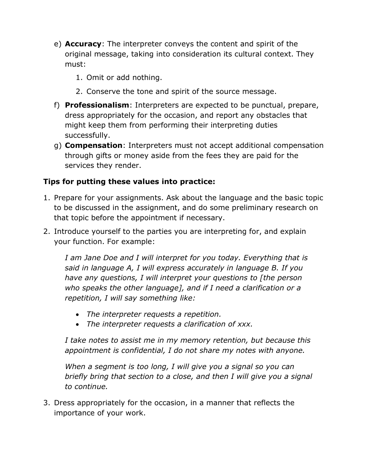- e) **Accuracy**: The interpreter conveys the content and spirit of the original message, taking into consideration its cultural context. They must:
	- 1. Omit or add nothing.
	- 2. Conserve the tone and spirit of the source message.
- f) **Professionalism**: Interpreters are expected to be punctual, prepare, dress appropriately for the occasion, and report any obstacles that might keep them from performing their interpreting duties successfully.
- g) **Compensation**: Interpreters must not accept additional compensation through gifts or money aside from the fees they are paid for the services they render.

## **Tips for putting these values into practice:**

- 1. Prepare for your assignments. Ask about the language and the basic topic to be discussed in the assignment, and do some preliminary research on that topic before the appointment if necessary.
- 2. Introduce yourself to the parties you are interpreting for, and explain your function. For example:

*I am Jane Doe and I will interpret for you today. Everything that is said in language A, I will express accurately in language B. If you have any questions, I will interpret your questions to [the person who speaks the other language], and if I need a clarification or a repetition, I will say something like:*

- *The interpreter requests a repetition.*
- *The interpreter requests a clarification of xxx.*

*I take notes to assist me in my memory retention, but because this appointment is confidential, I do not share my notes with anyone.* 

*When a segment is too long, I will give you a signal so you can briefly bring that section to a close, and then I will give you a signal to continue.* 

3. Dress appropriately for the occasion, in a manner that reflects the importance of your work.